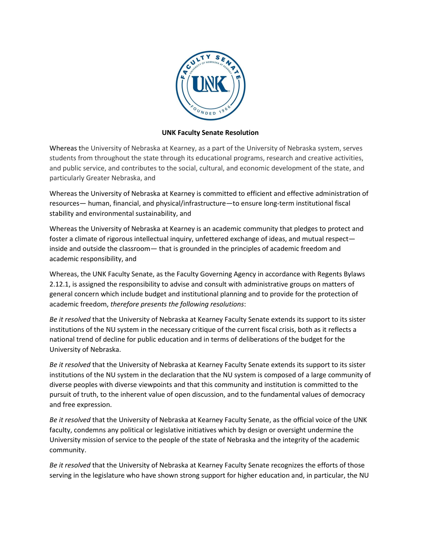

## **UNK Faculty Senate Resolution**

Whereas the University of Nebraska at Kearney, as a part of the University of Nebraska system, serves students from throughout the state through its educational programs, research and creative activities, and public service, and contributes to the social, cultural, and economic development of the state, and particularly Greater Nebraska, and

Whereas the University of Nebraska at Kearney is committed to efficient and effective administration of resources— human, financial, and physical/infrastructure—to ensure long-term institutional fiscal stability and environmental sustainability, and

Whereas the University of Nebraska at Kearney is an academic community that pledges to protect and foster a climate of rigorous intellectual inquiry, unfettered exchange of ideas, and mutual respect inside and outside the classroom— that is grounded in the principles of academic freedom and academic responsibility, and

Whereas, the UNK Faculty Senate, as the Faculty Governing Agency in accordance with Regents Bylaws 2.12.1, is assigned the responsibility to advise and consult with administrative groups on matters of general concern which include budget and institutional planning and to provide for the protection of academic freedom, *therefore presents the following resolutions*:

*Be it resolved* that the University of Nebraska at Kearney Faculty Senate extends its support to its sister institutions of the NU system in the necessary critique of the current fiscal crisis, both as it reflects a national trend of decline for public education and in terms of deliberations of the budget for the University of Nebraska.

*Be it resolved* that the University of Nebraska at Kearney Faculty Senate extends its support to its sister institutions of the NU system in the declaration that the NU system is composed of a large community of diverse peoples with diverse viewpoints and that this community and institution is committed to the pursuit of truth, to the inherent value of open discussion, and to the fundamental values of democracy and free expression.

*Be it resolved* that the University of Nebraska at Kearney Faculty Senate, as the official voice of the UNK faculty, condemns any political or legislative initiatives which by design or oversight undermine the University mission of service to the people of the state of Nebraska and the integrity of the academic community.

*Be it resolved* that the University of Nebraska at Kearney Faculty Senate recognizes the efforts of those serving in the legislature who have shown strong support for higher education and, in particular, the NU